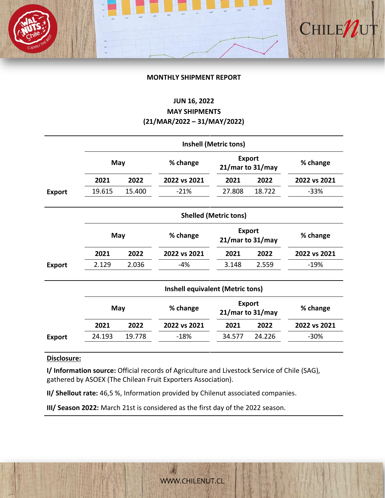# CHILEN

# **MONTHLY SHIPMENT REPORT**

# **JUN 16, 2022 MAY SHIPMENTS (21/MAR/2022 – 31/MAY/2022)**

|               | <b>Inshell (Metric tons)</b> |        |                                         |                                         |        |              |  |  |  |
|---------------|------------------------------|--------|-----------------------------------------|-----------------------------------------|--------|--------------|--|--|--|
|               | May                          |        | % change                                | <b>Export</b><br>21/mar to 31/may       |        | % change     |  |  |  |
|               | 2021                         | 2022   | 2022 vs 2021                            | 2021                                    | 2022   | 2022 vs 2021 |  |  |  |
| <b>Export</b> | 19.615                       | 15.400 | $-21%$                                  | 27.808                                  | 18.722 | $-33%$       |  |  |  |
|               |                              |        |                                         | <b>Shelled (Metric tons)</b>            |        |              |  |  |  |
|               | May                          |        | % change                                | <b>Export</b><br>21/mar to 31/may       |        | % change     |  |  |  |
|               | 2021                         | 2022   | 2022 vs 2021                            | 2021                                    | 2022   | 2022 vs 2021 |  |  |  |
| <b>Export</b> | 2.129                        | 2.036  | -4%                                     | 3.148                                   | 2.559  | $-19%$       |  |  |  |
|               |                              |        | <b>Inshell equivalent (Metric tons)</b> |                                         |        |              |  |  |  |
|               | May                          |        | % change                                | <b>Export</b><br>$21/m$ ar to $31/m$ ay |        | % change     |  |  |  |
|               | 2021                         | 2022   | 2022 vs 2021                            | 2021                                    | 2022   | 2022 vs 2021 |  |  |  |
| <b>Export</b> | 24.193                       | 19.778 | $-18%$                                  | 34.577                                  | 24.226 | $-30%$       |  |  |  |

# **Disclosure:**

**I/ Information source:** Official records of Agriculture and Livestock Service of Chile (SAG), gathered by ASOEX (The Chilean Fruit Exporters Association).

**II/ Shellout rate:** 46,5 %, Information provided by Chilenut associated companies.

**III/ Season 2022:** March 21st is considered as the first day of the 2022 season.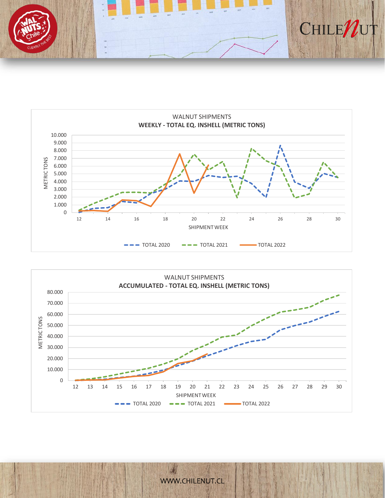





[WWW.CHILENUT.CL](http://WWW.CHILENUT.CL)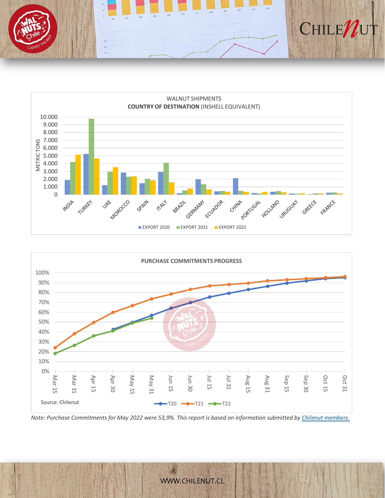





*Note: Purchase Commitments for May 2022 were 53,9%. This report is based on information submitted by [Chilenut members.](https://www.chilenut.cl/es/asociacion/)*

[WWW.CHILENUT.CL](http://WWW.CHILENUT.CL)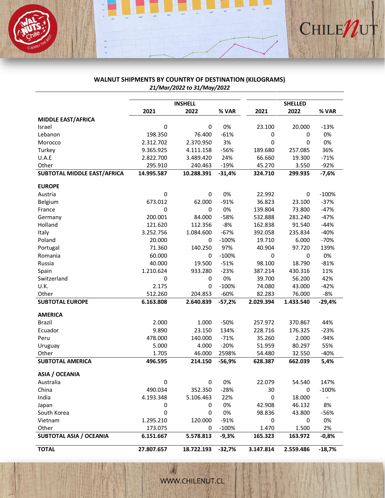

# **WALNUT SHIPMENTS BY COUNTRY OF DESTINATION (KILOGRAMS)** *21/Mar/2022 to 31/May/2022*

|                                |            | <b>INSHELL</b> | <b>SHELLED</b> |             |             |                          |
|--------------------------------|------------|----------------|----------------|-------------|-------------|--------------------------|
|                                | 2021       | 2022           | % VAR          | 2021        | 2022        | % VAR                    |
| MIDDLE EAST/AFRICA             |            |                |                |             |             |                          |
| Israel                         | 0          | 0              | 0%             | 23.100      | 20.000      | $-13%$                   |
| Lebanon                        | 198.350    | 76.400         | $-61%$         | 0           | 0           | 0%                       |
| Morocco                        | 2.312.702  | 2.370.950      | 3%             | $\mathbf 0$ | 0           | 0%                       |
| Turkey                         | 9.365.925  | 4.111.158      | $-56%$         | 189.680     | 257.085     | 36%                      |
| U.A.E                          | 2.822.700  | 3.489.420      | 24%            | 66.660      | 19.300      | $-71%$                   |
| Other                          | 295.910    | 240.463        | $-19%$         | 45.270      | 3.550       | $-92%$                   |
| SUBTOTAL MIDDLE EAST/AFRICA    | 14.995.587 | 10.288.391     | $-31,4%$       | 324.710     | 299.935     | $-7,6%$                  |
| <b>EUROPE</b>                  |            |                |                |             |             |                          |
| Austria                        | 0          | 0              | 0%             | 22.992      | 0           | $-100%$                  |
| Belgium                        | 673.012    | 62.000         | $-91%$         | 36.823      | 23.100      | $-37%$                   |
| France                         | 0          | 0              | 0%             | 139.804     | 73.800      | $-47%$                   |
| Germany                        | 200.001    | 84.000         | $-58%$         | 532.888     | 281.240     | $-47%$                   |
| Holland                        | 121.620    | 112.356        | $-8%$          | 162.838     | 91.540      | $-44%$                   |
| Italy                          | 3.252.756  | 1.084.600      | $-67%$         | 392.058     | 235.834     | $-40%$                   |
| Poland                         | 20.000     | 0              | $-100%$        | 19.710      | 6.000       | $-70%$                   |
| Portugal                       | 71.360     | 140.250        | 97%            | 40.904      | 97.720      | 139%                     |
| Romania                        | 60.000     | 0              | $-100%$        | $\mathbf 0$ | $\mathbf 0$ | 0%                       |
| Russia                         | 40.000     | 19.500         | $-51%$         | 98.100      | 18.790      | $-81%$                   |
| Spain                          | 1.210.624  | 933.280        | $-23%$         | 387.214     | 430.316     | 11%                      |
| Switzerland                    | 0          | 0              | 0%             | 39.700      | 56.200      | 42%                      |
| U.K.                           | 2.175      | 0              | $-100%$        | 74.080      | 43.000      | $-42%$                   |
| Other                          | 512.260    | 204.853        | $-60%$         | 82.283      | 76.000      | $-8%$                    |
| <b>SUBTOTAL EUROPE</b>         | 6.163.808  | 2.640.839      | $-57,2%$       | 2.029.394   | 1.433.540   | $-29,4%$                 |
| <b>AMERICA</b>                 |            |                |                |             |             |                          |
| <b>Brazil</b>                  | 2.000      | 1.000          | $-50%$         | 257.972     | 370.867     | 44%                      |
| Ecuador                        | 9.890      | 23.150         | 134%           | 228.716     | 176.325     | $-23%$                   |
| Peru                           | 478.000    | 140.000        | $-71%$         | 35.260      | 2.000       | $-94%$                   |
| Uruguay                        | 5.000      | 4.000          | $-20%$         | 51.959      | 80.297      | 55%                      |
| Other                          | 1.705      | 46.000         | 2598%          | 54.480      | 32.550      | $-40%$                   |
| <b>SUBTOTAL AMERICA</b>        | 496.595    | 214.150        | $-56,9%$       | 628.387     | 662.039     | 5,4%                     |
| ASIA / OCEANIA                 |            |                |                |             |             |                          |
| Australia                      | $\pmb{0}$  | 0              | 0%             | 22.079      | 54.540      | 147%                     |
| China                          | 490.034    | 352.350        | $-28%$         | 30          | 0           | $-100%$                  |
| India                          | 4.193.348  | 5.106.463      | 22%            | 0           | 18.000      | $\overline{\phantom{0}}$ |
| Japan                          | 0          | 0              | 0%             | 42.908      | 46.132      | 8%                       |
| South Korea                    | 0          | 0              | 0%             | 98.836      | 43.800      | -56%                     |
| Vietnam                        | 1.295.210  | 120.000        | $-91%$         | 0           | 0           | 0%                       |
| Other                          | 173.075    | 0              | $-100%$        | 1.470       | 1.500       | 2%                       |
| <b>SUBTOTAL ASIA / OCEANIA</b> | 6.151.667  | 5.578.813      | $-9,3%$        | 165.323     | 163.972     | $-0,8%$                  |
| <b>TOTAL</b>                   | 27.807.657 | 18.722.193     | $-32,7%$       | 3.147.814   | 2.559.486   | $-18,7%$                 |

WWW.CHILENUT.CL